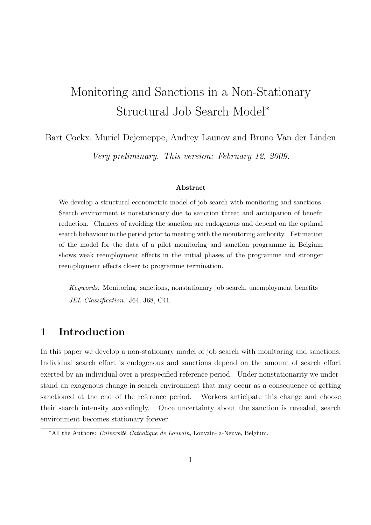# Monitoring and Sanctions in a Non-Stationary Structural Job Search Model<sup>∗</sup>

Bart Cockx, Muriel Dejemeppe, Andrey Launov and Bruno Van der Linden Very preliminary. This version: February 12, 2009.

#### Abstract

We develop a structural econometric model of job search with monitoring and sanctions. Search environment is nonstationary due to sanction threat and anticipation of benefit reduction. Chances of avoiding the sanction are endogenous and depend on the optimal search behaviour in the period prior to meeting with the monitoring authority. Estimation of the model for the data of a pilot monitoring and sanction programme in Belgium shows weak reemployment effects in the initial phases of the programme and stronger reemployment effects closer to programme termination.

Keywords: Monitoring, sanctions, nonstationary job search, unemployment benefits JEL Classification: J64, J68, C41.

## 1 Introduction

In this paper we develop a non-stationary model of job search with monitoring and sanctions. Individual search effort is endogenous and sanctions depend on the amount of search effort exerted by an individual over a prespecified reference period. Under nonstationarity we understand an exogenous change in search environment that may occur as a consequence of getting sanctioned at the end of the reference period. Workers anticipate this change and choose their search intensity accordingly. Once uncertainty about the sanction is revealed, search environment becomes stationary forever.

<sup>\*</sup>All the Authors: Université Catholique de Louvain, Louvain-la-Neuve, Belgium.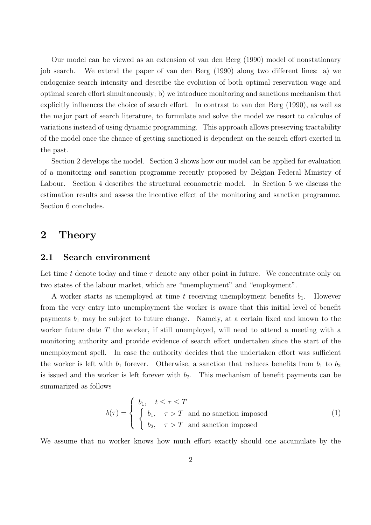Our model can be viewed as an extension of van den Berg (1990) model of nonstationary job search. We extend the paper of van den Berg (1990) along two different lines: a) we endogenize search intensity and describe the evolution of both optimal reservation wage and optimal search effort simultaneously; b) we introduce monitoring and sanctions mechanism that explicitly influences the choice of search effort. In contrast to van den Berg (1990), as well as the major part of search literature, to formulate and solve the model we resort to calculus of variations instead of using dynamic programming. This approach allows preserving tractability of the model once the chance of getting sanctioned is dependent on the search effort exerted in the past.

Section 2 develops the model. Section 3 shows how our model can be applied for evaluation of a monitoring and sanction programme recently proposed by Belgian Federal Ministry of Labour. Section 4 describes the structural econometric model. In Section 5 we discuss the estimation results and assess the incentive effect of the monitoring and sanction programme. Section 6 concludes.

### 2 Theory

#### 2.1 Search environment

Let time t denote today and time  $\tau$  denote any other point in future. We concentrate only on two states of the labour market, which are "unemployment" and "employment".

A worker starts as unemployed at time t receiving unemployment benefits  $b_1$ . However from the very entry into unemployment the worker is aware that this initial level of benefit payments  $b_1$  may be subject to future change. Namely, at a certain fixed and known to the worker future date  $T$  the worker, if still unemployed, will need to attend a meeting with a monitoring authority and provide evidence of search effort undertaken since the start of the unemployment spell. In case the authority decides that the undertaken effort was sufficient the worker is left with  $b_1$  forever. Otherwise, a sanction that reduces benefits from  $b_1$  to  $b_2$ is issued and the worker is left forever with  $b_2$ . This mechanism of benefit payments can be summarized as follows

$$
b(\tau) = \begin{cases} b_1, & t \leq \tau \leq T \\ \begin{cases} b_1, & \tau > T \\ b_2, & \tau > T \end{cases} \text{ and no sanction imposed} \end{cases}
$$
 (1)

We assume that no worker knows how much effort exactly should one accumulate by the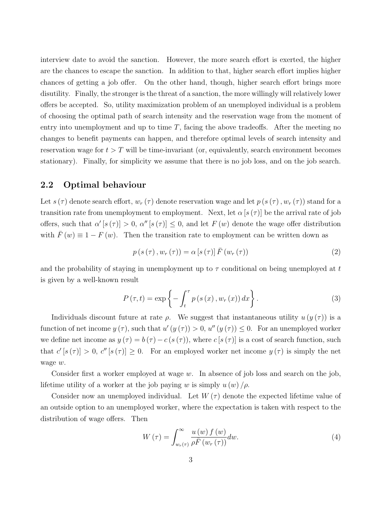interview date to avoid the sanction. However, the more search effort is exerted, the higher are the chances to escape the sanction. In addition to that, higher search effort implies higher chances of getting a job offer. On the other hand, though, higher search effort brings more disutility. Finally, the stronger is the threat of a sanction, the more willingly will relatively lower offers be accepted. So, utility maximization problem of an unemployed individual is a problem of choosing the optimal path of search intensity and the reservation wage from the moment of entry into unemployment and up to time  $T$ , facing the above tradeoffs. After the meeting no changes to benefit payments can happen, and therefore optimal levels of search intensity and reservation wage for  $t > T$  will be time-invariant (or, equivalently, search environment becomes stationary). Finally, for simplicity we assume that there is no job loss, and on the job search.

#### 2.2 Optimal behaviour

Let  $s(\tau)$  denote search effort,  $w_r(\tau)$  denote reservation wage and let  $p(s(\tau), w_r(\tau))$  stand for a transition rate from unemployment to employment. Next, let  $\alpha$  [s  $(\tau)$ ] be the arrival rate of job offers, such that  $\alpha'$   $[s(\tau)] > 0$ ,  $\alpha''$   $[s(\tau)] \leq 0$ , and let  $F(w)$  denote the wage offer distribution with  $\bar{F}(w) \equiv 1 - F(w)$ . Then the transition rate to employment can be written down as

$$
p(s(\tau), w_r(\tau)) = \alpha [s(\tau)] \bar{F}(w_r(\tau))
$$
\n(2)

and the probability of staying in unemployment up to  $\tau$  conditional on being unemployed at t is given by a well-known result

$$
P(\tau, t) = \exp\left\{-\int_{t}^{\tau} p(s(x), w_r(x)) dx\right\}.
$$
 (3)

Individuals discount future at rate  $\rho$ . We suggest that instantaneous utility  $u(y(\tau))$  is a function of net income  $y(\tau)$ , such that  $u'(y(\tau)) > 0$ ,  $u''(y(\tau)) \leq 0$ . For an unemployed worker we define net income as  $y(\tau) = b(\tau) - c(s(\tau))$ , where  $c[s(\tau)]$  is a cost of search function, such that  $c'[s(\tau)] > 0$ ,  $c''[s(\tau)] \geq 0$ . For an employed worker net income  $y(\tau)$  is simply the net wage w.

Consider first a worker employed at wage  $w$ . In absence of job loss and search on the job, lifetime utility of a worker at the job paying w is simply  $u(w)/\rho$ .

Consider now an unemployed individual. Let  $W(\tau)$  denote the expected lifetime value of an outside option to an unemployed worker, where the expectation is taken with respect to the distribution of wage offers. Then

$$
W(\tau) = \int_{w_r(\tau)}^{\infty} \frac{u(w) f(w)}{\rho \bar{F}(w_r(\tau))} dw.
$$
\n(4)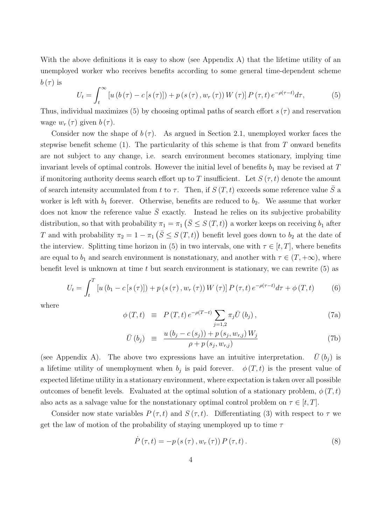With the above definitions it is easy to show (see Appendix A) that the lifetime utility of an unemployed worker who receives benefits according to some general time-dependent scheme  $b(\tau)$  is  $r^{\infty}$ 

$$
U_{t} = \int_{t}^{\infty} \left[ u \left( b \left( \tau \right) - c \left[ s \left( \tau \right) \right] \right) + p \left( s \left( \tau \right), w_{r} \left( \tau \right) \right) W \left( \tau \right) \right] P \left( \tau, t \right) e^{-\rho \left( \tau - t \right)} d\tau, \tag{5}
$$

Thus, individual maximizes (5) by choosing optimal paths of search effort  $s(\tau)$  and reservation wage  $w_r(\tau)$  given  $b(\tau)$ .

Consider now the shape of  $b(\tau)$ . As argued in Section 2.1, unemployed worker faces the stepwise benefit scheme (1). The particularity of this scheme is that from  $T$  onward benefits are not subject to any change, i.e. search environment becomes stationary, implying time invariant levels of optimal controls. However the initial level of benefits  $b_1$  may be revised at T if monitoring authority deems search effort up to T insufficient. Let  $S(\tau, t)$  denote the amount of search intensity accumulated from t to  $\tau$ . Then, if  $S(T, t)$  exceeds some reference value  $\overline{S}$  a worker is left with  $b_1$  forever. Otherwise, benefits are reduced to  $b_2$ . We assume that worker does not know the reference value  $\overline{S}$  exactly. Instead he relies on its subjective probability distribution, so that with probability  $\pi_1 = \pi_1$  $(\bar{S} \leq S(T,t))$ a worker keeps on receiving  $b_1$  after T and with probability  $\pi_2 = 1 - \pi_1$  $\frac{\overline{S}}{\overline{S}} \leq S(T,t)$ benefit level goes down to  $b_2$  at the date of the interview. Splitting time horizon in (5) in two intervals, one with  $\tau \in [t, T]$ , where benefits are equal to  $b_1$  and search environment is nonstationary, and another with  $\tau \in (T, +\infty)$ , where benefit level is unknown at time  $t$  but search environment is stationary, we can rewrite  $(5)$  as

$$
U_{t} = \int_{t}^{T} \left[ u \left( b_{1} - c \left[ s \left( \tau \right) \right] \right) + p \left( s \left( \tau \right), w_{r} \left( \tau \right) \right) W \left( \tau \right) \right] P \left( \tau, t \right) e^{-\rho (\tau - t)} d\tau + \phi \left( T, t \right) \tag{6}
$$

where

$$
\phi(T, t) \equiv P(T, t) e^{-\rho(T-t)} \sum_{j=1,2} \pi_j \bar{U}(b_j), \qquad (7a)
$$

$$
\bar{U}(b_j) \equiv \frac{u(b_j - c(s_j)) + p(s_j, w_{r,j}) W_j}{\rho + p(s_j, w_{r,j})}
$$
\n(7b)

(see Appendix A). The above two expressions have an intuitive interpretation.  $\bar{U}(b_i)$  is a lifetime utility of unemployment when  $b_j$  is paid forever.  $\phi(T, t)$  is the present value of expected lifetime utility in a stationary environment, where expectation is taken over all possible outcomes of benefit levels. Evaluated at the optimal solution of a stationary problem,  $\phi(T, t)$ also acts as a salvage value for the nonstationary optimal control problem on  $\tau \in [t, T]$ .

Consider now state variables  $P(\tau, t)$  and  $S(\tau, t)$ . Differentiating (3) with respect to  $\tau$  we get the law of motion of the probability of staying unemployed up to time  $\tau$ 

$$
\dot{P}(\tau,t) = -p(s(\tau), w_r(\tau)) P(\tau,t).
$$
\n(8)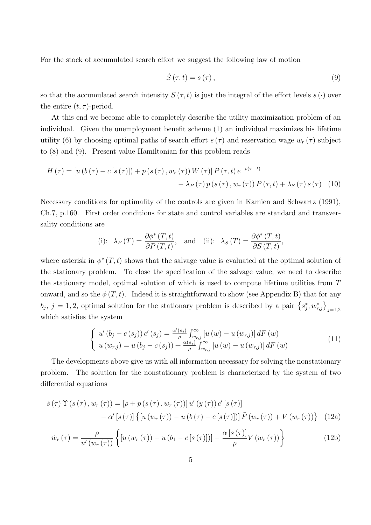For the stock of accumulated search effort we suggest the following law of motion

$$
\dot{S}\left(\tau,t\right) = s\left(\tau\right),\tag{9}
$$

so that the accumulated search intensity  $S(\tau, t)$  is just the integral of the effort levels  $s(\cdot)$  over the entire  $(t, \tau)$ -period.

At this end we become able to completely describe the utility maximization problem of an individual. Given the unemployment benefit scheme (1) an individual maximizes his lifetime utility (6) by choosing optimal paths of search effort  $s(\tau)$  and reservation wage  $w_r(\tau)$  subject to (8) and (9). Present value Hamiltonian for this problem reads

$$
H(\tau) = \left[ u\left(b\left(\tau\right) - c\left[s\left(\tau\right)\right]\right) + p\left(s\left(\tau\right), w_r\left(\tau\right)\right) W\left(\tau\right) \right] P\left(\tau, t\right) e^{-\rho(\tau - t)} - \lambda_P(\tau) p\left(s\left(\tau\right), w_r\left(\tau\right)\right) P\left(\tau, t\right) + \lambda_S(\tau) s\left(\tau\right) \tag{10}
$$

Necessary conditions for optimality of the controls are given in Kamien and Schwartz (1991), Ch.7, p.160. First order conditions for state and control variables are standard and transversality conditions are

(i): 
$$
\lambda_P(T) = \frac{\partial \phi^*(T,t)}{\partial P(T,t)},
$$
 and (ii):  $\lambda_S(T) = \frac{\partial \phi^*(T,t)}{\partial S(T,t)},$ 

where asterisk in  $\phi^*(T, t)$  shows that the salvage value is evaluated at the optimal solution of the stationary problem. To close the specification of the salvage value, we need to describe the stationary model, optimal solution of which is used to compute lifetime utilities from T onward, and so the  $\phi(T, t)$ . Indeed it is straightforward to show (see Appendix B) that for any bj, j = 1, 2, optimal solution for the stationary problem is described by a pair  $\{s_j^*, w_{r,j}^*\}_{j=1,2}$ which satisfies the system

$$
\begin{cases}\n u'(b_j - c(s_j)) c'(s_j) = \frac{\alpha'(s_j)}{\rho} \int_{w_{r,j}}^{\infty} [u(w) - u(w_{r,j})] dF(w) \\
u(w_{r,j}) = u(b_j - c(s_j)) + \frac{\alpha(s_j)}{\rho} \int_{w_{r,j}}^{\infty} [u(w) - u(w_{r,j})] dF(w)\n\end{cases} (11)
$$

The developments above give us with all information necessary for solving the nonstationary problem. The solution for the nonstationary problem is characterized by the system of two differential equations

$$
\dot{s}(\tau) \Upsilon(s(\tau), w_r(\tau)) = [\rho + p(s(\tau), w_r(\tau))] u'(y(\tau)) c'[s(\tau)]-\alpha'[s(\tau)] \{ [u(w_r(\tau)) - u(b(\tau) - c[s(\tau)])] \bar{F}(w_r(\tau)) + V(w_r(\tau)) \} (12a)
$$

$$
\dot{w}_r(\tau) = \frac{\rho}{u'(w_r(\tau))} \left\{ \left[ u\left(w_r(\tau)\right) - u\left(b_1 - c\left[s\left(\tau\right)\right]\right) \right] - \frac{\alpha\left[s\left(\tau\right)\right]}{\rho} V\left(w_r(\tau)\right) \right\} \tag{12b}
$$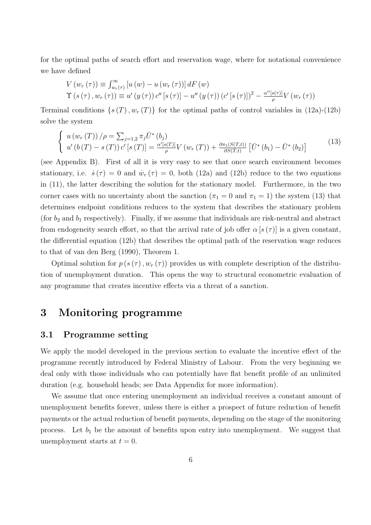for the optimal paths of search effort and reservation wage, where for notational convenience we have defined

$$
V(w_r(\tau)) \equiv \int_{w_r(\tau)}^{\infty} \left[ u(w) - u(w_r(\tau)) \right] dF(w)
$$
  
\n
$$
\Upsilon(s(\tau), w_r(\tau)) \equiv u'(y(\tau)) c''[s(\tau)] - u''(y(\tau)) (c'[s(\tau)])^2 - \frac{\alpha''[s(\tau)]}{\rho} V(w_r(\tau))
$$

Terminal conditions  $\{s(T), w_T(T)\}\$ for the optimal paths of control variables in (12a)-(12b) solve the system

$$
\begin{cases}\n u(w_r(T))/\rho = \sum_{j=1,2} \pi_j \bar{U}^*(b_j) \\
u'(b(T) - s(T)) C'[s(T)] = \frac{\alpha'[s(T)]}{\rho} V(w_r(T)) + \frac{\partial \pi_1(S(T,t))}{\partial S(T,t)} [\bar{U}^*(b_1) - \bar{U}^*(b_2)]\n\end{cases}
$$
\n(13)

(see Appendix B). First of all it is very easy to see that once search environment becomes stationary, i.e.  $\dot{s}(\tau) = 0$  and  $\dot{w}_r(\tau) = 0$ , both (12a) and (12b) reduce to the two equations in (11), the latter describing the solution for the stationary model. Furthermore, in the two corner cases with no uncertainty about the sanction ( $\pi_1 = 0$  and  $\pi_1 = 1$ ) the system (13) that determines endpoint conditions reduces to the system that describes the stationary problem (for  $b_2$  and  $b_1$  respectively). Finally, if we assume that individuals are risk-neutral and abstract from endogeneity search effort, so that the arrival rate of job offer  $\alpha$  [s  $(\tau)$ ] is a given constant, the differential equation (12b) that describes the optimal path of the reservation wage reduces to that of van den Berg (1990), Theorem 1.

Optimal solution for  $p(s(\tau), w_r(\tau))$  provides us with complete description of the distribution of unemployment duration. This opens the way to structural econometric evaluation of any programme that creates incentive effects via a threat of a sanction.

## 3 Monitoring programme

#### 3.1 Programme setting

We apply the model developed in the previous section to evaluate the incentive effect of the programme recently introduced by Federal Ministry of Labour. From the very beginning we deal only with those individuals who can potentially have flat benefit profile of an unlimited duration (e.g. household heads; see Data Appendix for more information).

We assume that once entering unemployment an individual receives a constant amount of unemployment benefits forever, unless there is either a prospect of future reduction of benefit payments or the actual reduction of benefit payments, depending on the stage of the monitoring process. Let  $b_1$  be the amount of benefits upon entry into unemployment. We suggest that unemployment starts at  $t = 0$ .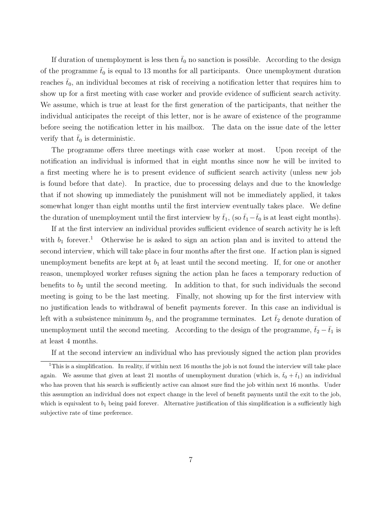If duration of unemployment is less then  $\bar{t}_0$  no sanction is possible. According to the design of the programme  $\bar{t}_0$  is equal to 13 months for all participants. Once unemployment duration reaches  $\bar{t}_0$ , an individual becomes at risk of receiving a notification letter that requires him to show up for a first meeting with case worker and provide evidence of sufficient search activity. We assume, which is true at least for the first generation of the participants, that neither the individual anticipates the receipt of this letter, nor is he aware of existence of the programme before seeing the notification letter in his mailbox. The data on the issue date of the letter verify that  $t_0$  is deterministic.

The programme offers three meetings with case worker at most. Upon receipt of the notification an individual is informed that in eight months since now he will be invited to a first meeting where he is to present evidence of sufficient search activity (unless new job is found before that date). In practice, due to processing delays and due to the knowledge that if not showing up immediately the punishment will not be immediately applied, it takes somewhat longer than eight months until the first interview eventually takes place. We define the duration of unemployment until the first interview by  $\bar{t}_1$ , (so  $\bar{t}_1-\bar{t}_0$  is at least eight months).

If at the first interview an individual provides sufficient evidence of search activity he is left with  $b_1$  forever.<sup>1</sup> Otherwise he is asked to sign an action plan and is invited to attend the second interview, which will take place in four months after the first one. If action plan is signed unemployment benefits are kept at  $b_1$  at least until the second meeting. If, for one or another reason, unemployed worker refuses signing the action plan he faces a temporary reduction of benefits to  $b_2$  until the second meeting. In addition to that, for such individuals the second meeting is going to be the last meeting. Finally, not showing up for the first interview with no justification leads to withdrawal of benefit payments forever. In this case an individual is left with a subsistence minimum  $b_3$ , and the programme terminates. Let  $\bar{t}_2$  denote duration of unemployment until the second meeting. According to the design of the programme,  $\bar{t}_2 - \bar{t}_1$  is at least 4 months.

If at the second interview an individual who has previously signed the action plan provides

<sup>&</sup>lt;sup>1</sup>This is a simplification. In reality, if within next 16 months the job is not found the interview will take place again. We assume that given at least 21 months of unemployment duration (which is,  $\bar{t}_0 + \bar{t}_1$ ) an individual who has proven that his search is sufficiently active can almost sure find the job within next 16 months. Under this assumption an individual does not expect change in the level of benefit payments until the exit to the job, which is equivalent to  $b_1$  being paid forever. Alternative justification of this simplification is a sufficiently high subjective rate of time preference.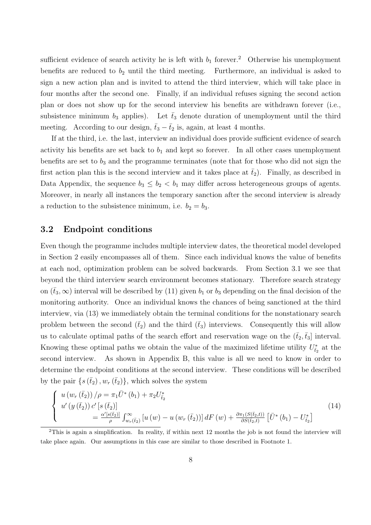sufficient evidence of search activity he is left with  $b_1$  forever.<sup>2</sup> Otherwise his unemployment benefits are reduced to  $b_2$  until the third meeting. Furthermore, an individual is asked to sign a new action plan and is invited to attend the third interview, which will take place in four months after the second one. Finally, if an individual refuses signing the second action plan or does not show up for the second interview his benefits are withdrawn forever (i.e., subsistence minimum  $b_3$  applies). Let  $\bar{t}_3$  denote duration of unemployment until the third meeting. According to our design,  $\bar{t}_3 - \bar{t}_2$  is, again, at least 4 months.

If at the third, i.e. the last, interview an individual does provide sufficient evidence of search activity his benefits are set back to  $b_1$  and kept so forever. In all other cases unemployment benefits are set to  $b_3$  and the programme terminates (note that for those who did not sign the first action plan this is the second interview and it takes place at  $\bar{t}_2$ ). Finally, as described in Data Appendix, the sequence  $b_3 \leq b_2 < b_1$  may differ across heterogeneous groups of agents. Moreover, in nearly all instances the temporary sanction after the second interview is already a reduction to the subsistence minimum, i.e.  $b_2 = b_3$ .

#### 3.2 Endpoint conditions

Even though the programme includes multiple interview dates, the theoretical model developed in Section 2 easily encompasses all of them. Since each individual knows the value of benefits at each nod, optimization problem can be solved backwards. From Section 3.1 we see that beyond the third interview search environment becomes stationary. Therefore search strategy on  $(\bar{t}_3,\infty)$  interval will be described by (11) given  $b_1$  or  $b_3$  depending on the final decision of the monitoring authority. Once an individual knows the chances of being sanctioned at the third interview, via (13) we immediately obtain the terminal conditions for the nonstationary search problem between the second  $(\bar{t}_2)$  and the third  $(\bar{t}_3)$  interviews. Consequently this will allow us to calculate optimal paths of the search effort and reservation wage on the  $(\bar{t}_2,\bar{t}_3]$  interval. Knowing these optimal paths we obtain the value of the maximized lifetime utility  $U_{t_2}^*$  at the second interview. As shown in Appendix B, this value is all we need to know in order to determine the endpoint conditions at the second interview. These conditions will be described by the pair  $\{s(\bar{t}_2), w_r(\bar{t}_2)\}\$ , which solves the system  $\overline{a}$ 

$$
\begin{cases}\n u \left( w_r \left( \bar{t}_2 \right) \right) / \rho = \pi_1 \bar{U}^* \left( b_1 \right) + \pi_2 U_{\bar{t}_2}^* \\
u' \left( y \left( \bar{t}_2 \right) \right) c' \left[ s \left( \bar{t}_2 \right) \right] \\
= \frac{\alpha' \left[ s(\bar{t}_2) \right]}{\rho} \int_{w_r \left( \bar{t}_2 \right)}^{\infty} \left[ u \left( w \right) - u \left( w_r \left( \bar{t}_2 \right) \right) \right] dF \left( w \right) + \frac{\partial \pi_1(S(\bar{t}_2, t))}{\partial S(\bar{t}_2, t)} \left[ \bar{U}^* \left( b_1 \right) - U_{\bar{t}_2}^* \right]\n\end{cases}\n\tag{14}
$$

<sup>&</sup>lt;sup>2</sup>This is again a simplification. In reality, if within next 12 months the job is not found the interview will take place again. Our assumptions in this case are similar to those described in Footnote 1.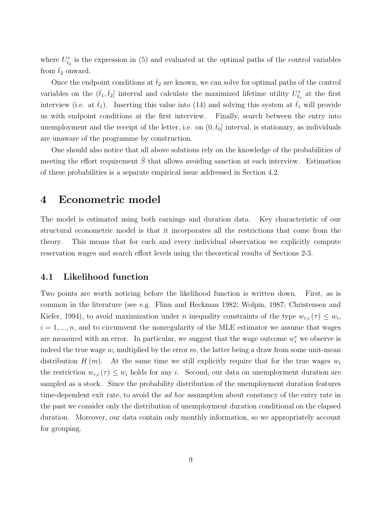where  $U_{\bar{t}_2}^*$  is the expression in (5) and evaluated at the optimal paths of the control variables from  $\bar{t}_2$  onward.

Once the endpoint conditions at  $\bar{t}_2$  are known, we can solve for optimal paths of the control variables on the  $(\bar{t}_1, \bar{t}_2]$  interval and calculate the maximized lifetime utility  $U_{\bar{t}_1}^*$  at the first interview (i.e. at  $\bar{t}_1$ ). Inserting this value into (14) and solving this system at  $\bar{t}_1$  will provide us with endpoint conditions at the first interview. Finally, search between the entry into unemployment and the receipt of the letter, i.e. on  $(0, t_0]$  interval, is stationary, as individuals are unaware of the programme by construction.

One should also notice that all above solutions rely on the knowledge of the probabilities of meeting the effort requirement  $\overline{S}$  that allows avoiding sanction at each interview. Estimation of these probabilities is a separate empirical issue addressed in Section 4.2.

### 4 Econometric model

The model is estimated using both earnings and duration data. Key characteristic of our structural econometric model is that it incorporates all the restrictions that come from the theory. This means that for each and every individual observation we explicitly compute reservation wages and search effort levels using the theoretical results of Sections 2-3.

#### 4.1 Likelihood function

Two points are worth noticing before the likelihood function is written down. First, as is common in the literature (see e.g. Flinn and Heckman 1982; Wolpin, 1987; Christensen and Kiefer, 1994), to avoid maximization under *n* inequality constraints of the type  $w_{r,i}(\tau) \leq w_i$ ,  $i = 1, \ldots, n$ , and to circumvent the nonregularity of the MLE estimator we assume that wages are measured with an error. In particular, we suggest that the wage outcome  $w_i^e$  we observe is indeed the true wage  $w_i$  multiplied by the error  $m$ , the latter being a draw from some unit-mean distribution  $H(m)$ . At the same time we still explicitly require that for the true wages  $w_i$ the restriction  $w_{r,i}(\tau) \leq w_i$  holds for any i. Second, our data on unemployment duration are sampled as a stock. Since the probability distribution of the unemployment duration features time-dependent exit rate, to avoid the *ad hoc* assumption about constancy of the entry rate in the past we consider only the distribution of unemployment duration conditional on the elapsed duration. Moreover, our data contain only monthly information, so we appropriately account for grouping.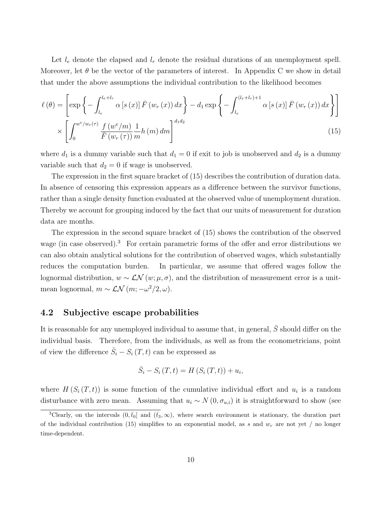Let  $l_e$  denote the elapsed and  $l_r$  denote the residual durations of an unemployment spell. Moreover, let  $\theta$  be the vector of the parameters of interest. In Appendix C we show in detail that under the above assumptions the individual contribution to the likelihood becomes

$$
\ell(\theta) = \left[ \exp \left\{ - \int_{l_e}^{l_e + l_r} \alpha \left[ s \left( x \right) \right] \bar{F} \left( w_r \left( x \right) \right) dx \right\} - d_1 \exp \left\{ - \int_{l_e}^{(l_e + l_r) + 1} \alpha \left[ s \left( x \right) \right] \bar{F} \left( w_r \left( x \right) \right) dx \right\} \right] \times \left[ \int_0^{w^e / w_r(\tau)} \frac{f \left( w^e / m \right)}{\bar{F} \left( w_r \left( \tau \right) \right)} \frac{1}{m} h \left( m \right) dm \right]^{d_1 d_2} \tag{15}
$$

where  $d_1$  is a dummy variable such that  $d_1 = 0$  if exit to job is unobserved and  $d_2$  is a dummy variable such that  $d_2 = 0$  if wage is unobserved.

The expression in the first square bracket of (15) describes the contribution of duration data. In absence of censoring this expression appears as a difference between the survivor functions, rather than a single density function evaluated at the observed value of unemployment duration. Thereby we account for grouping induced by the fact that our units of measurement for duration data are months.

The expression in the second square bracket of (15) shows the contribution of the observed wage (in case observed).<sup>3</sup> For certain parametric forms of the offer and error distributions we can also obtain analytical solutions for the contribution of observed wages, which substantially reduces the computation burden. In particular, we assume that offered wages follow the lognormal distribution,  $w \sim \mathcal{LN}(w; \mu, \sigma)$ , and the distribution of measurement error is a unitmean lognormal,  $m \sim \mathcal{LN}(m; -\omega^2/2, \omega)$ .

#### 4.2 Subjective escape probabilities

It is reasonable for any unemployed individual to assume that, in general,  $S$  should differ on the individual basis. Therefore, from the individuals, as well as from the econometricians, point of view the difference  $\bar{S}_i - S_i(T, t)$  can be expressed as

$$
\overline{S}_i - S_i(T, t) = H(S_i(T, t)) + u_i,
$$

where  $H(S_i(T,t))$  is some function of the cumulative individual effort and  $u_i$  is a random disturbance with zero mean. Assuming that  $u_i \sim N(0, \sigma_{u,i})$  it is straightforward to show (see

<sup>&</sup>lt;sup>3</sup>Clearly, on the intervals  $(0, \bar{t}_0]$  and  $(\bar{t}_3, \infty)$ , where search environment is stationary, the duration part of the individual contribution (15) simplifies to an exponential model, as s and  $w_r$  are not yet / no longer time-dependent.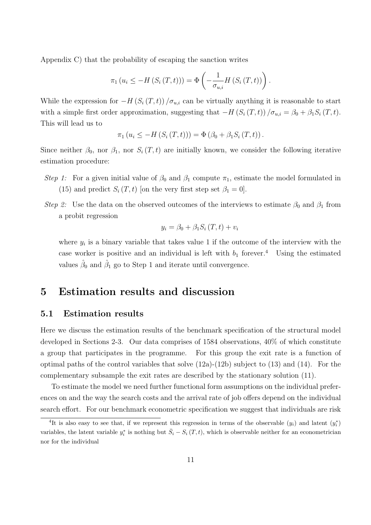Appendix C) that the probability of escaping the sanction writes

$$
\pi_1(u_i \leq -H(S_i(T,t))) = \Phi\left(-\frac{1}{\sigma_{u,i}}H(S_i(T,t))\right).
$$

While the expression for  $-H(S_i(T,t))/\sigma_{u,i}$  can be virtually anything it is reasonable to start with a simple first order approximation, suggesting that  $-H(S_i(T,t))/\sigma_{u,i} = \beta_0 + \beta_1 S_i(T,t)$ . This will lead us to

$$
\pi_1 (u_i \le -H (S_i (T, t))) = \Phi (\beta_0 + \beta_1 S_i (T, t)).
$$

Since neither  $\beta_0$ , nor  $\beta_1$ , nor  $S_i(T, t)$  are initially known, we consider the following iterative estimation procedure:

- Step 1: For a given initial value of  $\beta_0$  and  $\beta_1$  compute  $\pi_1$ , estimate the model formulated in (15) and predict  $S_i(T, t)$  [on the very first step set  $\beta_1 = 0$ ].
- Step 2: Use the data on the observed outcomes of the interviews to estimate  $\beta_0$  and  $\beta_1$  from a probit regression

$$
y_i = \beta_0 + \beta_1 S_i(T, t) + v_i
$$

where  $y_i$  is a binary variable that takes value 1 if the outcome of the interview with the case worker is positive and an individual is left with  $b_1$  forever.<sup>4</sup> Using the estimated values  $\hat{\beta}_0$  and  $\hat{\beta}_1$  go to Step 1 and iterate until convergence.

## 5 Estimation results and discussion

#### 5.1 Estimation results

Here we discuss the estimation results of the benchmark specification of the structural model developed in Sections 2-3. Our data comprises of 1584 observations, 40% of which constitute a group that participates in the programme. For this group the exit rate is a function of optimal paths of the control variables that solve (12a)-(12b) subject to (13) and (14). For the complementary subsample the exit rates are described by the stationary solution (11).

To estimate the model we need further functional form assumptions on the individual preferences on and the way the search costs and the arrival rate of job offers depend on the individual search effort. For our benchmark econometric specification we suggest that individuals are risk

<sup>&</sup>lt;sup>4</sup>It is also easy to see that, if we represent this regression in terms of the observable  $(y_i)$  and latent  $(y_i^*)$ variables, the latent variable  $y_i^*$  is nothing but  $\bar{S}_i - S_i(T, t)$ , which is observable neither for an econometrician nor for the individual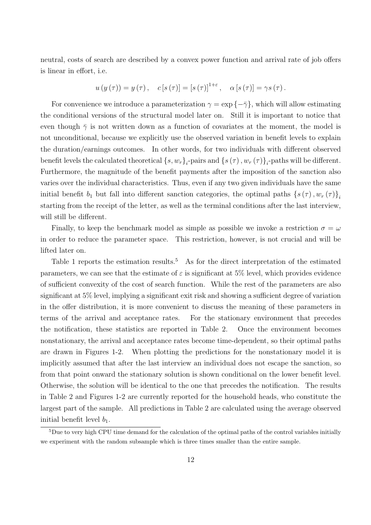neutral, costs of search are described by a convex power function and arrival rate of job offers is linear in effort, i.e.

$$
u(y(\tau)) = y(\tau), \quad c[s(\tau)] = [s(\tau)]^{1+\varepsilon}, \quad \alpha[s(\tau)] = \gamma s(\tau).
$$

For convenience we introduce a parameterization  $\gamma = \exp\{-\bar{\gamma}\}\$ , which will allow estimating the conditional versions of the structural model later on. Still it is important to notice that even though  $\bar{\gamma}$  is not written down as a function of covariates at the moment, the model is not unconditional, because we explicitly use the observed variation in benefit levels to explain the duration/earnings outcomes. In other words, for two individuals with different observed benefit levels the calculated theoretical  $\{s, w_r\}_i$ -pairs and  $\{s(\tau), w_r(\tau)\}_i$ -paths will be different. Furthermore, the magnitude of the benefit payments after the imposition of the sanction also varies over the individual characteristics. Thus, even if any two given individuals have the same initial benefit  $b_1$  but fall into different sanction categories, the optimal paths  $\{s(\tau), w_r(\tau)\}\$ starting from the receipt of the letter, as well as the terminal conditions after the last interview, will still be different.

Finally, to keep the benchmark model as simple as possible we invoke a restriction  $\sigma = \omega$ in order to reduce the parameter space. This restriction, however, is not crucial and will be lifted later on.

Table 1 reports the estimation results.<sup>5</sup> As for the direct interpretation of the estimated parameters, we can see that the estimate of  $\varepsilon$  is significant at 5% level, which provides evidence of sufficient convexity of the cost of search function. While the rest of the parameters are also significant at 5% level, implying a significant exit risk and showing a sufficient degree of variation in the offer distribution, it is more convenient to discuss the meaning of these parameters in terms of the arrival and acceptance rates. For the stationary environment that precedes the notification, these statistics are reported in Table 2. Once the environment becomes nonstationary, the arrival and acceptance rates become time-dependent, so their optimal paths are drawn in Figures 1-2. When plotting the predictions for the nonstationary model it is implicitly assumed that after the last interview an individual does not escape the sanction, so from that point onward the stationary solution is shown conditional on the lower benefit level. Otherwise, the solution will be identical to the one that precedes the notification. The results in Table 2 and Figures 1-2 are currently reported for the household heads, who constitute the largest part of the sample. All predictions in Table 2 are calculated using the average observed initial benefit level  $b_1$ .

<sup>&</sup>lt;sup>5</sup>Due to very high CPU time demand for the calculation of the optimal paths of the control variables initially we experiment with the random subsample which is three times smaller than the entire sample.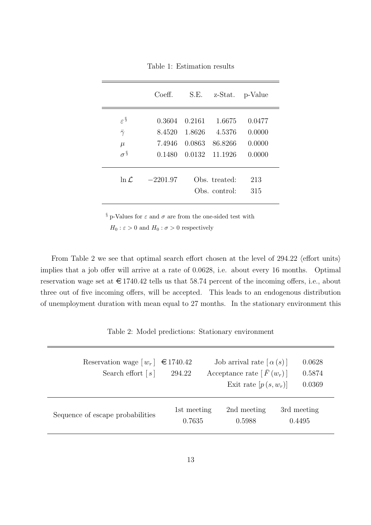|                                                                | Coeff.                               | S.E.                       | z-Stat.                                       | p-Value                              |
|----------------------------------------------------------------|--------------------------------------|----------------------------|-----------------------------------------------|--------------------------------------|
| $\varepsilon^{\S}$<br>$\bar{\gamma}$<br>$\mu$<br>$\sigma^{\S}$ | 0.3604<br>8.4520<br>7.4946<br>0.1480 | 0.2161<br>1.8626<br>0.0863 | 1.6675<br>4.5376<br>86.8266<br>0.0132 11.1926 | 0.0477<br>0.0000<br>0.0000<br>0.0000 |
| $\ln \mathcal{L}$                                              | $-2201.97$                           |                            | Obs. treated:<br>Obs. control:                | 213<br>315                           |

Table 1: Estimation results

 $\S$  p-Values for  $\varepsilon$  and  $\sigma$  are from the one-sided test with

 $H_0: \varepsilon > 0$  and  $H_0: \sigma > 0$  respectively

From Table 2 we see that optimal search effort chosen at the level of  $294.22$  (effort units) implies that a job offer will arrive at a rate of 0.0628, i.e. about every 16 months. Optimal reservation wage set at  $\epsilon$  1740.42 tells us that 58.74 percent of the incoming offers, i.e., about three out of five incoming offers, will be accepted. This leads to an endogenous distribution of unemployment duration with mean equal to 27 months. In the stationary environment this

Table 2: Model predictions: Stationary environment

| Reservation wage $\lfloor w_r \rfloor$<br>Search effort $[s]$ | €1740.42<br>294.22    |  | Job arrival rate $\lceil \alpha(s) \rceil$<br>Acceptance rate $[F(w_r)]$<br>Exit rate $[p(s, w_r)]$ | 0.0628<br>0.5874<br>0.0369 |
|---------------------------------------------------------------|-----------------------|--|-----------------------------------------------------------------------------------------------------|----------------------------|
| Sequence of escape probabilities                              | 1st meeting<br>0.7635 |  | 2nd meeting<br>0.5988                                                                               | 3rd meeting<br>0.4495      |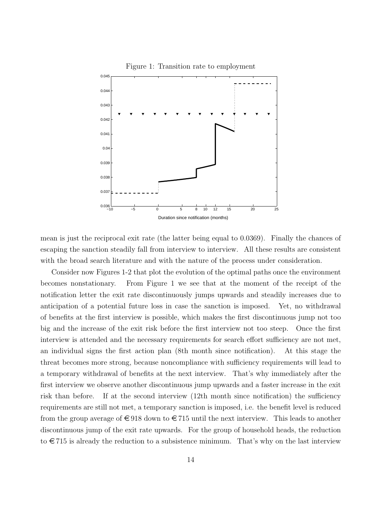

mean is just the reciprocal exit rate (the latter being equal to 0.0369). Finally the chances of escaping the sanction steadily fall from interview to interview. All these results are consistent with the broad search literature and with the nature of the process under consideration.

Consider now Figures 1-2 that plot the evolution of the optimal paths once the environment becomes nonstationary. From Figure 1 we see that at the moment of the receipt of the notification letter the exit rate discontinuously jumps upwards and steadily increases due to anticipation of a potential future loss in case the sanction is imposed. Yet, no withdrawal of benefits at the first interview is possible, which makes the first discontinuous jump not too big and the increase of the exit risk before the first interview not too steep. Once the first interview is attended and the necessary requirements for search effort sufficiency are not met, an individual signs the first action plan (8th month since notification). At this stage the threat becomes more strong, because noncompliance with sufficiency requirements will lead to a temporary withdrawal of benefits at the next interview. That's why immediately after the first interview we observe another discontinuous jump upwards and a faster increase in the exit risk than before. If at the second interview (12th month since notification) the sufficiency requirements are still not met, a temporary sanction is imposed, i.e. the benefit level is reduced from the group average of  $\epsilon$  918 down to  $\epsilon$  715 until the next interview. This leads to another discontinuous jump of the exit rate upwards. For the group of household heads, the reduction to  $\epsilon$  715 is already the reduction to a subsistence minimum. That's why on the last interview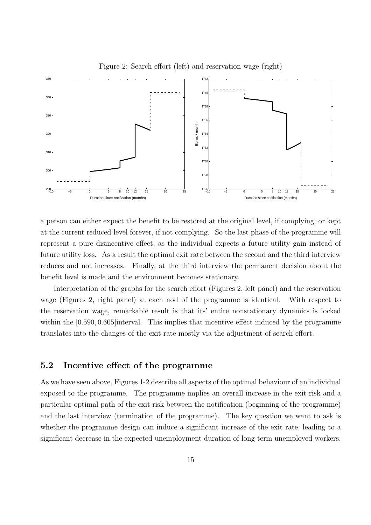

Figure 2: Search effort (left) and reservation wage (right)

a person can either expect the benefit to be restored at the original level, if complying, or kept at the current reduced level forever, if not complying. So the last phase of the programme will represent a pure disincentive effect, as the individual expects a future utility gain instead of future utility loss. As a result the optimal exit rate between the second and the third interview reduces and not increases. Finally, at the third interview the permanent decision about the benefit level is made and the environment becomes stationary.

Interpretation of the graphs for the search effort (Figures 2, left panel) and the reservation wage (Figures 2, right panel) at each nod of the programme is identical. With respect to the reservation wage, remarkable result is that its' entire nonstationary dynamics is locked within the [0.590, 0.605] interval. This implies that incentive effect induced by the programme translates into the changes of the exit rate mostly via the adjustment of search effort.

#### 5.2 Incentive effect of the programme

As we have seen above, Figures 1-2 describe all aspects of the optimal behaviour of an individual exposed to the programme. The programme implies an overall increase in the exit risk and a particular optimal path of the exit risk between the notification (beginning of the programme) and the last interview (termination of the programme). The key question we want to ask is whether the programme design can induce a significant increase of the exit rate, leading to a significant decrease in the expected unemployment duration of long-term unemployed workers.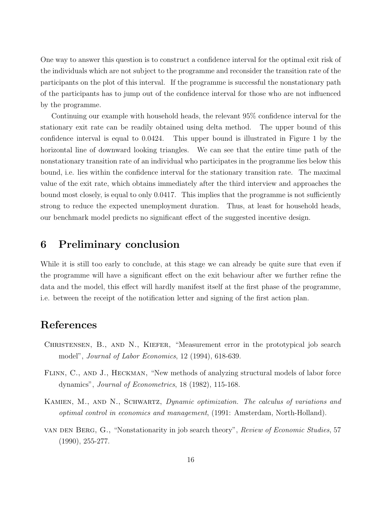One way to answer this question is to construct a confidence interval for the optimal exit risk of the individuals which are not subject to the programme and reconsider the transition rate of the participants on the plot of this interval. If the programme is successful the nonstationary path of the participants has to jump out of the confidence interval for those who are not influenced by the programme.

Continuing our example with household heads, the relevant 95% confidence interval for the stationary exit rate can be readily obtained using delta method. The upper bound of this confidence interval is equal to 0.0424. This upper bound is illustrated in Figure 1 by the horizontal line of downward looking triangles. We can see that the entire time path of the nonstationary transition rate of an individual who participates in the programme lies below this bound, i.e. lies within the confidence interval for the stationary transition rate. The maximal value of the exit rate, which obtains immediately after the third interview and approaches the bound most closely, is equal to only 0.0417. This implies that the programme is not sufficiently strong to reduce the expected unemployment duration. Thus, at least for household heads, our benchmark model predicts no significant effect of the suggested incentive design.

## 6 Preliminary conclusion

While it is still too early to conclude, at this stage we can already be quite sure that even if the programme will have a significant effect on the exit behaviour after we further refine the data and the model, this effect will hardly manifest itself at the first phase of the programme, i.e. between the receipt of the notification letter and signing of the first action plan.

## References

- CHRISTENSEN, B., AND N., KIEFER, "Measurement error in the prototypical job search model", Journal of Labor Economics, 12 (1994), 618-639.
- FLINN, C., AND J., HECKMAN, "New methods of analyzing structural models of labor force dynamics", Journal of Econometrics, 18 (1982), 115-168.
- KAMIEN, M., AND N., SCHWARTZ, *Dynamic optimization. The calculus of variations and* optimal control in economics and management, (1991: Amsterdam, North-Holland).
- van den Berg, G., "Nonstationarity in job search theory", Review of Economic Studies, 57 (1990), 255-277.